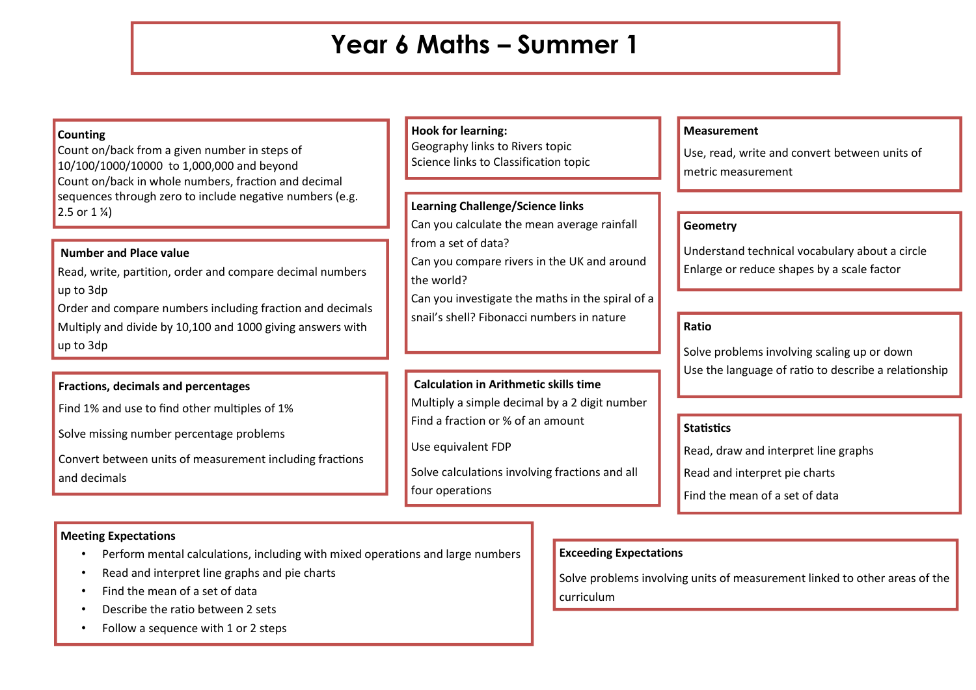## **Year 6 Maths – Summer 1**

## **Counting**

Count on/back from a given number in steps of 10/100/1000/10000 to 1,000,000 and beyond Count on/back in whole numbers, fraction and decimal sequences through zero to include negative numbers (e.g.  $2.5$  or  $1\frac{\pi}{4}$ 

## **Number and Place value**

Read, write, partition, order and compare decimal numbers up to 3dp

Order and compare numbers including fraction and decimals Multiply and divide by 10,100 and 1000 giving answers with up to 3dp

## **Fractions, decimals and percentages**

Find 1% and use to find other multiples of 1%

Solve missing number percentage problems

Convert between units of measurement including fractions and decimals

## **Hook for learning:**

Geography links to Rivers topic Science links to Classification topic

## **Learning Challenge/Science links**

Can you calculate the mean average rainfall from a set of data?

Can you compare rivers in the UK and around the world?

Can you investigate the maths in the spiral of a snail's shell? Fibonacci numbers in nature

## **Calculation in Arithmetic skills time**

Multiply a simple decimal by a 2 digit number Find a fraction or % of an amount

Use equivalent FDP

Solve calculations involving fractions and all four operations

#### **Measurement**

Use, read, write and convert between units of metric measurement

## **Geometry**

Understand technical vocabulary about a circle Enlarge or reduce shapes by a scale factor

#### **Ratio**

Solve problems involving scaling up or down Use the language of ratio to describe a relationship

#### **Statistics**

Read, draw and interpret line graphs

Read and interpret pie charts

Find the mean of a set of data

## **Exceeding Expectations**

Solve problems involving units of measurement linked to other areas of the curriculum

## **Meeting Expectations**

- Perform mental calculations, including with mixed operations and large numbers
- Read and interpret line graphs and pie charts
- Find the mean of a set of data
- Describe the ratio between 2 sets
- Follow a sequence with 1 or 2 steps